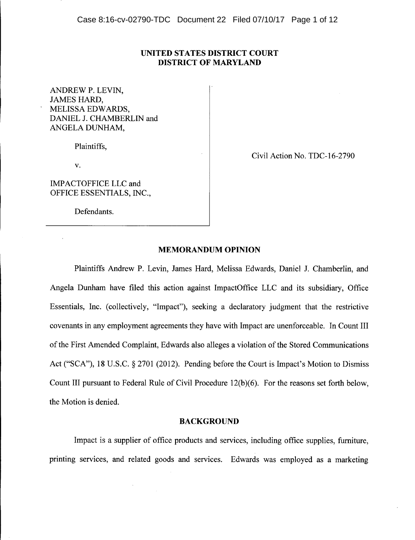# UNITED STATES DISTRICT COURT DISTRICT OF MARYLAND

ANDREW P. LEVIN, JAMES HARD, MELISSA EDWARDS, DANIEL J. CHAMBERLIN and ANGELA DUNHAM,

Plaintiffs,

v.

IMPACTOFFICE LLC and OFFICE ESSENTIALS, INC.,

Defendants.

Civil Action No. TDC-16-2790

# MEMORANDUM OPINION

Plaintiffs Andrew P. Levin, James Hard, Melissa Edwards, Daniel J. Chamberlin, and Angela Dunham have filed this action against ImpactOffice LLC and its subsidiary, Office Essentials, Inc. (collectively, "Impact"), seeking a declaratory judgment that the restrictive covenants in any employment agreements they have with Impact are unenforceable. In Count III of the First Amended Complaint, Edwards also alleges a violation of the Stored Communications Act ("SCA"), 18 U.S.C. § 2701 (2012). Pending before the Court is Impact's Motion to Dismiss Count III pursuant to Federal Rule of Civil Procedure 12(b)(6). For the reasons set forth below, the Motion is denied.

# BACKGROUND

Impact is a supplier of office products and services, including office supplies, furniture, printing services, and related goods and services. Edwards was employed as a marketing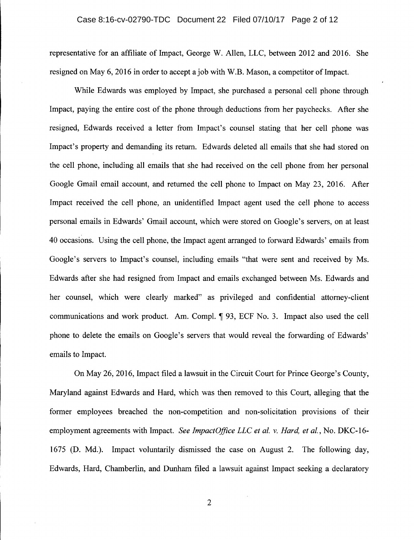#### Case 8:16-cv-02790-TDC Document 22 Filed 07/10/17 Page 2 of 12

representative for an affiliate of Impact, George W. Allen, LLC, between 2012 and 2016. She resigned on May 6, 2016 in order to accept a job with W.B. Mason, a competitor of Impact.

While Edwards was employed by Impact, she purchased a personal cell phone through Impact, paying the entire cost of the phone through deductions from her paychecks. After she resigned, Edwards received a letter from Impact's counsel stating that her cell phone was Impact's property and demanding its return. Edwards deleted all emails that she had stored on the cell phone, including all emails that she had received on the cell phone from her personal Google Gmail email account, and returned the cell phone to Impact on May 23, 2016. After Impact received the cell phone, an unidentified Impact agent used the cell phone to access personal emails in Edwards' Gmail account, which were stored on Google's servers, on at least 40 occasions. Using the cell phone, the Impact agent arranged to forward Edwards' emails from Google's servers to Impact's counsel, including emails "that were sent and received by Ms. Edwards after she had resigned from Impact and emails exchanged between Ms. Edwards and her counsel, which were clearly marked" as privileged and confidential attorney-client communications and work product. Am. Compl.  $\P$  93, ECF No. 3. Impact also used the cell phone to delete the emails on Google's servers that would reveal the forwarding of Edwards' emails to Impact.

On May 26,2016, Impact filed a lawsuit in the Circuit Court for Prince George's County, Maryland against Edwards and Hard, which was then removed to this Court, alleging that the former employees breached the non-competition and non-solicitation provisions of their employment agreements with Impact. *See ImpactOfjice LLC et ai.* v. *Hard, et al.,* No. DKC-16- 1675 (D. Md.). Impact voluntarily dismissed the case on August 2. The following day, Edwards, Hard, Chamberlin, and Dunham filed a lawsuit against Impact seeking a declaratory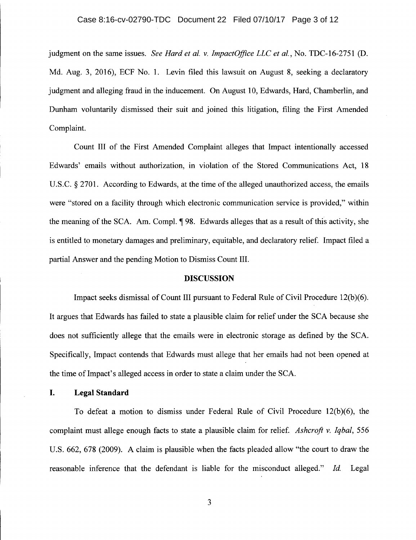#### Case 8:16-cv-02790-TDC Document 22 Filed 07/10/17 Page 3 of 12

judgment on the same issues. *See Hard et al.* v. *ImpactOfjice LLC et al.,* No. TDC-16-2751 (D. Md. Aug. 3, 2016), ECF No. 1. Levin filed this lawsuit on August 8, seeking a declaratory judgment and alleging fraud in the inducement. On August 10, Edwards, Hard, Chamberlin, and Dunham voluntarily dismissed their suit and joined this litigation, filing the First Amended Complaint.

Count III of the First Amended Complaint alleges that Impact intentionally accessed Edwards' emails without authorization, in violation of the Stored Communications Act, 18 U.S.C. S 2701. According to Edwards, at the time of the alleged unauthorized access, the emails were "stored on a facility through which electronic communication service is provided," within the meaning of the SCA. Am. Compl.  $\phi$  98. Edwards alleges that as a result of this activity, she is entitled to monetary damages and preliminary, equitable, and declaratory relief. Impact filed a partial Answer and the pending Motion to Dismiss Count III.

#### DISCUSSION

Impact seeks dismissal of Count III pursuant to Federal Rule of Civil Procedure 12(b)(6). It argues that Edwards has failed to state a plausible claim for relief under the SCA because she does not sufficiently allege that the emails were in electronic storage as defined by the SCA. Specifically, Impact contends that Edwards must allege that her emails had not been opened at the time of Impact's alleged access in order to state a claim under the SCA.

# I. Legal Standard

To defeat a motion to dismiss under Federal Rule of Civil Procedure 12(b)(6), the complaint must allege enough facts to state a plausible claim for relief. *Ashcroft* v. *Iqbal, 556* U.S. 662, 678 (2009). A claim is plausible when the facts pleaded allow "the court to draw the reasonable inference that the defendant is liable for the misconduct alleged." *Id.* Legal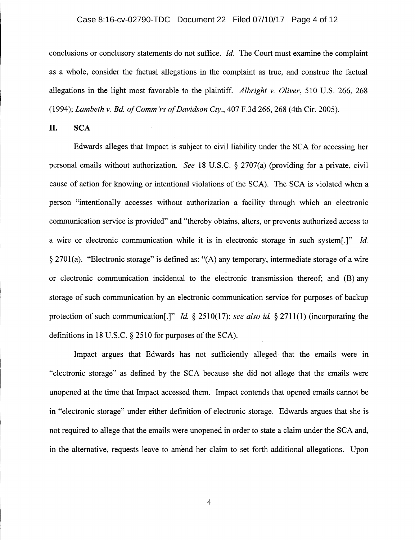#### Case 8:16-cv-02790-TDC Document 22 Filed 07/10/17 Page 4 of 12

conclusions or conclusory statements do not suffice. *Id.* The Court must examine the complaint as a whole, consider the factual allegations in the complaint as true, and construe the factual allegations in the light most favorable to the plaintiff. *Albright* v. *Oliver,* 510 U.S. 266, 268 *(1994); Lambeth* v. *Bd. ofComm'rs of Davidson Cty.,* 407 F.3d 266,268 (4th Cir. 2005).

**II.** SCA

Edwards alleges that Impact is subject to civil liability under the SCA for accessing her personal emails without authorization. *See* 18 U.S.C. S 2707(a) (providing for a private, civil cause of action for knowing or intentional violations of the SCA). The SCA is violated when a person "intentionally accesses without authorization a facility through which an electronic communication service is provided" and "thereby obtains, alters, or prevents authorized access to a wire or electronic communication while it is in electronic storage in such system(.]" *Id.*  $\S 2701(a)$ . "Electronic storage" is defined as: "(A) any temporary, intermediate storage of a wire or electronic communication incidental to the electronic transmission thereof; and (B) any storage of such communication by an electronic communication service for purposes of backup protection of such communication<sup>[1]"</sup> *Id.*  $\frac{2510(17)}{s}$ ; *see also id.*  $\frac{2711(1)}{s}$  (incorporating the definitions in 18 U.S.C.  $\S$  2510 for purposes of the SCA).

Impact argues that Edwards has not sufficiently alleged that the emails were in "electronic storage" as defined by the SCA because she did not allege that the emails were unopened at the time that Impact accessed them. Impact contends that opened emails cannot be in "electronic storage" under either definition of electronic storage. Edwards argues that she is not required to allege that the emails were unopened in order to state a claim under the SCA and, in the alternative, requests leave to amend her claim to set forth additional allegations. Upon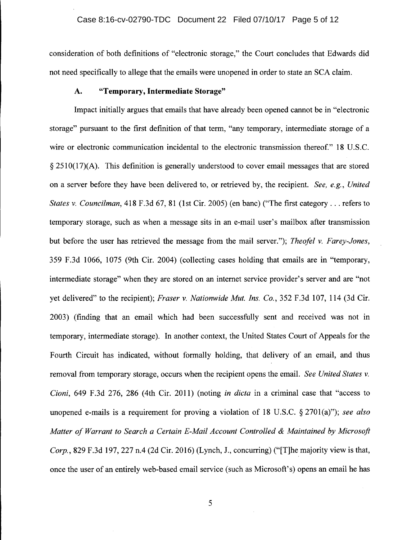consideration of both definitions of "electronic storage," the Court concludes that Edwards did not need specifically to allege that the emails were unopened in order to state an SCA claim.

# A. **"Temporary, Intermediate Storage"**

Impact initially argues that emails that have already been opened cannot be in "electronic storage" pursuant to the first definition of that term, "any temporary, intermediate storage of a wire or electronic communication incidental to the electronic transmission thereof." 18 U.S.C.  $\S 2510(17)$ (A). This definition is generally understood to cover email messages that are stored on a server before they have been delivered to, or retrieved by, the recipient. *See, e.g., United States* v. *Councilman,* 418 F.3d 67, 81 (1st Cir. 2005) (en banc) ("The first category ... refers to temporary storage, such as when a message sits in an e-mail user's mailbox after transmission but before the user has retrieved the message from the mail server."); *Theofel* v. *Farey-Jones,* 359 F.3d 1066, 1075 (9th Cir. 2004) (collecting cases holding that emails are in "temporary, intermediate storage" when they are stored on an internet service provider's server and are "not yet delivered" to the recipient); *Fraser* v. *Nationwide Mut. Ins. Co.,* 352 F.3d 107, 114 (3d Cir. 2003) (finding that an email which had been successfully sent and received was not in temporary, intermediate storage). In another context, the United States Court of Appeals for the Fourth Circuit has indicated, without formally holding, that delivery of an email, and thus removal from temporary storage, occurs when the recipient opens the email. *See United States* v. *Cioni,* 649 F.3d 276, 286 (4th Cir. 2011) (noting *in dicta* in a criminal case that "access to unopened e-mails is a requirement for proving a violation of 18 U.S.C. § 2701(a)"); *see also Matter of Warrant to Search a Certain E-Mail Account Controlled* & *Maintained by Microsoft Corp.,* 829 F.3d 197,227 n.4 (2d Cir. 2016) (Lynch, J., concurring) ("(T]he majority view is that, once the user of an entirely web-based email service (such as Microsoft's) opens an email he has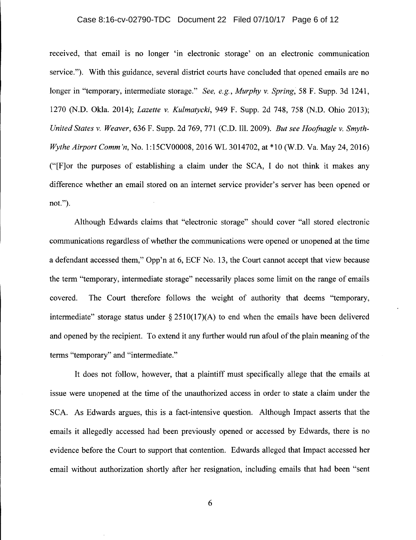#### Case 8:16-cv-02790-TDC Document 22 Filed 07/10/17 Page 6 of 12

received, that email is no longer 'in electronic storage' on an electronic communication service."). With this guidance, several district courts have concluded that opened emails are no longer in "temporary, intermediate storage." *See, e.g., Murphy v. Spring,* 58 F. Supp. 3d 1241, 1270 (N.D. Okla. 2014); *Lazette v. Kulmatycki,* 949 F. Supp. 2d 748, 758 (N.D. Ohio 2013); *United States v. Weaver,* 636 F. Supp. 2d 769, 771 (C.D. Ill. 2009). *But see Hoofnagle v. Smyth-Wythe Airport Comm 'n,* No. 1:15CV00008, 2016 WL 3014702, at \*10 (W.D. Va. May 24, 2016) ("[F]or the purposes of establishing a claim under the SCA, I do not think it makes any difference whether an email stored on an internet service provider's server has been opened or not.").

Although Edwards claims that "electronic storage" should cover "all stored electronic communications regardless of whether the communications were opened or unopened at the time a defendant accessed them," Opp'n at 6, ECF No. 13, the Court cannot accept that view because the term "temporary, intermediate storage" necessarily places some limit on the range of emails covered. The Court therefore follows the weight of authority that deems "temporary, intermediate" storage status under  $\S 2510(17)(A)$  to end when the emails have been delivered and opened by the recipient. To extend it any further would run afoul of the plain meaning of the terms "temporary" and "intermediate."

It does not follow, however, that a plaintiff must specifically allege that the emails at issue were unopened at the time of the unauthorized access in order to state a claim under the SCA. As Edwards argues, this is a fact-intensive question. Although Impact asserts that the emails it allegedly accessed had been previously opened or accessed by Edwards, there is no evidence before the Court to support that contention. Edwards alleged that Impact accessed her email without authorization shortly after her resignation, including emails that had been "sent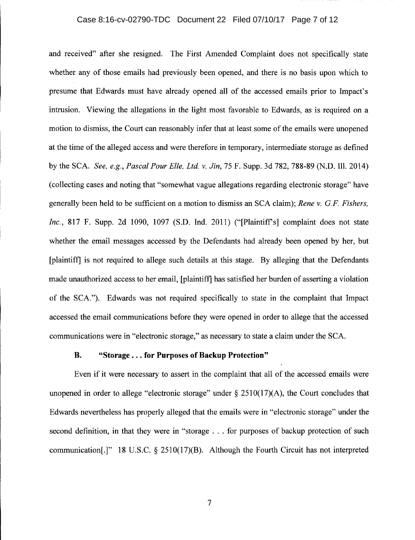#### Case 8:16-cv-02790-TDC Document 22 Filed 07/10/17 Page 7 of 12

and received" after she resigned. The First Amended Complaint does not specifically state whether any of those emails had previously been opened, and there is no basis upon which to presume that Edwards must have already opened all of the accessed emails prior to Impact's intrusion. Viewing the allegations in the light most favorable to Edwards, as is required on a motion to dismiss, the Court can reasonably infer that at least some of the emails were unopened at the time of the alleged access and were therefore in temporary, intermediate storage as defined by the SCA. *See, e.g., Pascal Pour Elle, Ltd.* v. *Jin,* 75 F. Supp. 3d 782, 788-89 (N.D. Ill. 2014) (collecting cases and noting that "somewhat vague allegations regarding electronic storage" have generally been held to be sufficient on a motion to dismiss an SCA claim); *Rene* v. *G.P. Fishers, Inc.*, 817 F. Supp. 2d 1090, 1097 (S.D. Ind. 2011) ("[Plaintiff's] complaint does not state whether the email messages accessed by the Defendants had already been opened by her, but [plaintiff] is not required to allege such details at this stage. By alleging that the Defendants made unauthorized access to her email, [plaintiff] has satisfied her burden of asserting a violation of the SCA."). Edwards was not required specifically to state in the complaint that Impact accessed the email communications before they were opened in order to allege that the accessed communications were in "electronic storage," as necessary to state a claim under the SCA.

# B. "Storage ... for Purposes of Backup Protection"

Even if it were necessary to assert in the complaint that all of the accessed emails were unopened in order to allege "electronic storage" under  $\S 2510(17)(A)$ , the Court concludes that Edwards nevertheless has properly alleged that the emails were in "electronic storage" under the second definition, in that they were in "storage . . . for purposes of backup protection of such communication[.]" 18 U.S.C.  $\S$  2510(17)(B). Although the Fourth Circuit has not interpreted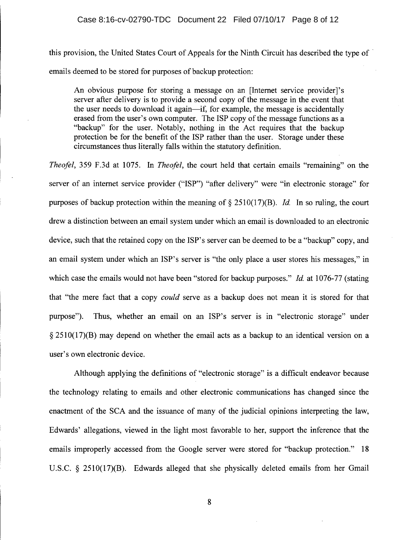this provision, the United States Court of Appeals for the Ninth Circuit has described the type of ' emails deemed to be stored for purposes of backup protection:

An obvious purpose for storing a message on an [Internet service provider]'s server after delivery is to provide a second copy of the message in the event that the user needs to download it again-if, for example, the message is accidentally erased from the user's own computer. The ISP copy of the message functions as a "backup" for the user. Notably, nothing in the Act requires that the backup protection be for the benefit of the ISP rather than the user. Storage under these circumstances thus literally falls within the statutory definition.

*Theofel,* 359 F.3d at 1075. In *Theofel,* the court held that certain emails "remaining" on the server of an internet service provider ("ISP") "after delivery" were "in electronic storage" for purposes of backup protection within the meaning of  $\S 2510(17)(B)$ . *Id.* In so ruling, the court drew a distinction between an email system under which an email is downloaded to an electronic device, such that the retained copy on the ISP's server can be deemed to be a "backup" copy, and an email system under which an ISP's server is "the only place a user stores his messages," in which case the emails would not have been "stored for backup purposes." *Id.* at 1076-77 (stating that "the mere fact that a copy *could* serve as a backup does not mean it is stored for that purpose"). Thus, whether an email on an ISP's server is in "electronic storage" under  $\S 2510(17)$ (B) may depend on whether the email acts as a backup to an identical version on a user's own electronic device.

Although applying the definitions of "electronic storage" is a difficult endeavor because the technology relating to emails and other electronic communications has changed since the enactment of the SCA and the issuance of many of the judicial opinions interpreting the law, Edwards' allegations, viewed in the light most favorable to her, support the inference that the emails improperly accessed from the Google server were stored for "backup protection." 18 U.S.C.  $\S$  2510(17)(B). Edwards alleged that she physically deleted emails from her Gmail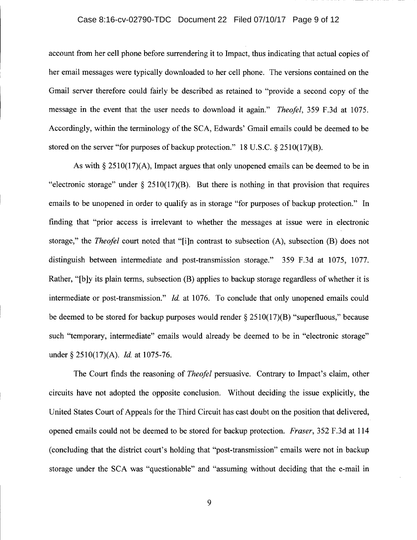# Case 8:16-cv-02790-TDC Document 22 Filed 07/10/17 Page 9 of 12

account from her cell phone before surrendering it to Impact, thus indicating that actual copies of her email messages were typically downloaded to her cell phone. The versions contained on the Gmail server therefore could fairly be described as retained to "provide a second copy of the message in the event that the user needs to download it again." *Theofel,* 359 F.3d at 1075. Accordingly, within the terminology of the SCA, Edwards' Gmail emails could be deemed to be stored on the server "for purposes of backup protection." 18 U.S.C.  $\S 2510(17)(B)$ .

As with  $\S 2510(17)$ (A), Impact argues that only unopened emails can be deemed to be in "electronic storage" under  $\S$  2510(17)(B). But there is nothing in that provision that requires emails to be unopened in order to qualify as in storage "for purposes of backup protection." In finding that "prior access is irrelevant to whether the messages at issue were in electronic storage," the *Theofel* court noted that "[i]n contrast to subsection (A), subsection (B) does not distinguish between intermediate and post-transmission storage." 359 F.3d at 1075, 1077. Rather, "[b]y its plain terms, subsection (B) applies to backup storage regardless of whether it is intermediate or post-transmission." *Id.* at 1076. To conclude that only unopened emails could be deemed to be stored for backup purposes would render  $\S 2510(17)(B)$  "superfluous," because such "temporary, intermediate" emails would already be deemed to be in "electronic storage" under § 2510(17)(A). *Id.* at 1075-76.

The Court finds the reasoning of *Theofel* persuasive. Contrary to Impact's claim, other circuits have not adopted the opposite conclusion. Without deciding the issue explicitly, the United States Court of Appeals for the Third Circuit has cast doubt on the position that delivered, opened emails could not be deemed to be stored for backup protection. *Fraser,* 352 F.3d at 114 (concluding that the district court's holding that "post-transmission" emails were not in backup storage under the SCA was "questionable" and "assuming without deciding that the e-mail in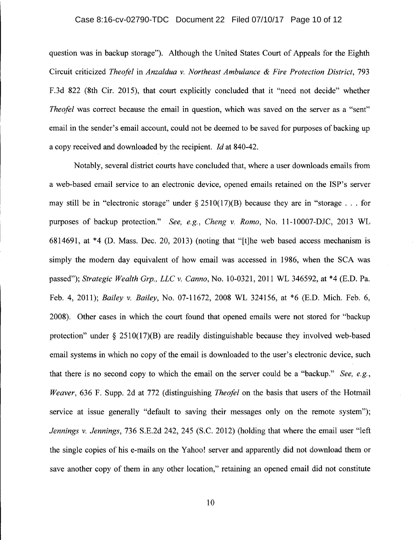### Case 8:16-cv-02790-TDC Document 22 Filed 07/10/17 Page 10 of 12

question was in backup storage"). Although the United States Court of Appeals for the Eighth Circuit criticized *Theofel* in *Anzaldua* v. *Northeast Ambulance* & *Fire Protection District, 793* F.3d 822 (8th Cir. 2015), that court explicitly concluded that it "need not decide" whether *Theofel* was correct because the email in question, which was saved on the server as a "sent" email in the sender's email account, could not be deemed to be saved for purposes of backing up a copy received and downloaded by the recipient. *ld* at 840-42.

Notably, several district courts have concluded that, where a user downloads emails from a web-based email service to an electronic device, opened emails retained on the ISP's server may still be in "electronic storage" under  $\& 2510(17)(B)$  because they are in "storage ... for purposes of backup protection." *See, e.g., Cheng* v. *Romo,* No. 11-10007-DJC, 2013 WL 6814691, at \*4 (D. Mass. Dec. 20, 2013) (noting that "[t]he web based access mechanism is simply the modem day equivalent of how email was accessed in 1986, when the SCA was passed"); *Strategic Wealth Grp., LLC* v. *Canno,* No. 10-0321,2011 WL 346592, at \*4 (E.D. Pa. Feb. 4, 2011); *Bailey* v. *Bailey,* No. 07-11672, 2008 WL 324156, at \*6 (E.D. Mich. Feb. 6, 2008). Other cases in which the court found that opened emails were not stored for "backup protection" under  $\S$  2510(17)(B) are readily distinguishable because they involved web-based email systems in which no copy of the email is downloaded to the user's electronic device, such that there is no second copy to which the email on the server could be a "backup." *See, e.g., Weaver,* 636 F. Supp. 2d at 772 (distinguishing *Theofel* on the basis that users of the Hotmail service at issue generally "default to saving their messages only on the remote system"); *Jennings* v. *Jennings,* 736 S.E.2d 242, 245 (S.C. 2012) (holding that where the email user "left the single copies of his e-mails on the Yahoo! server and apparently did not download them or save another copy of them in any other location," retaining an opened email did not constitute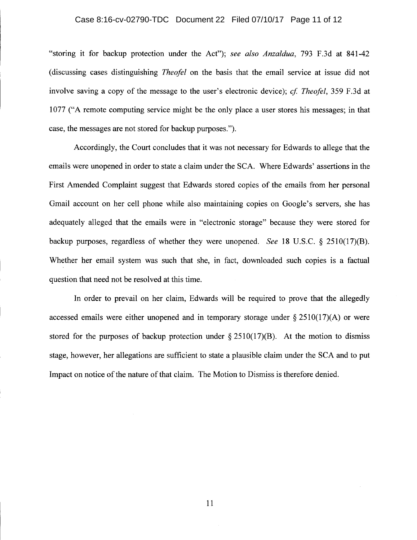#### Case 8:16-cv-02790-TDC Document 22 Filed 07/10/17 Page 11 of 12

"storing it for backup protection under the Act"); *see also Anzaldua,* 793 F.3d at 841-42 (discussing cases distinguishing *Theofel* on the basis that the email service at issue did not involve saving a copy of the message to the user's electronic device); *ef Theofel,* 359 F.3d at 1077 ("A remote computing service might be the only place a user stores his messages; in that case, the messages are not stored for backup purposes.").

Accordingly, the Court concludes that it was not necessary for Edwards to allege that the emails were unopened in order to state a claim under the SCA. Where Edwards' assertions in the First Amended Complaint suggest that Edwards stored copies of the emails from her personal Gmail account on her cell phone while also maintaining copies on Google's servers, she has adequately alleged that the emails were in "electronic storage" because they were stored for backup purposes, regardless of whether they were unopened. *See* 18 U.S.C.  $\delta$  2510(17)(B). Whether her email system was such that she, in fact, downloaded such copies is a factual question that need not be resolved at this time.

In order to prevail on her claim, Edwards will be required to prove that the allegedly accessed emails were either unopened and in temporary storage under  $\S 2510(17)(A)$  or were stored for the purposes of backup protection under  $\S 2510(17)(B)$ . At the motion to dismiss stage, however, her allegations are sufficient to state a plausible claim under the SCA and to put Impact on notice of the nature of that claim. The Motion to Dismiss is therefore denied.